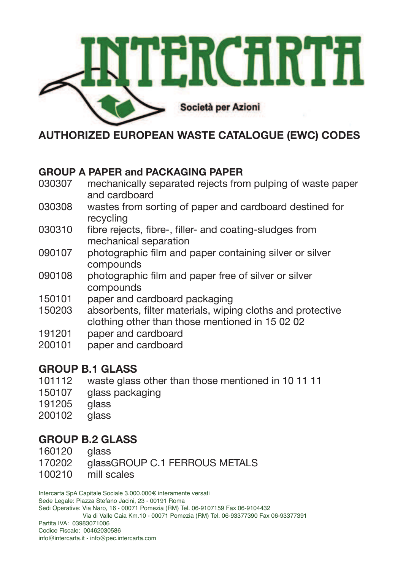

**AUTHORIZED EUROPEAN WASTE CATALOGUE (EWC) CODES** 

# **GROUP A PAPER and PACKAGING PAPER**

- 030307 mechanically separated rejects from pulping of waste paper and cardboard
- 030308 wastes from sorting of paper and cardboard destined for recycling
- 030310 fibre rejects, fibre-, filler- and coating-sludges from mechanical separation
- 090107 photographic film and paper containing silver or silver compounds
- 090108 photographic film and paper free of silver or silver compounds
- 150101 paper and cardboard packaging
- 150203 absorbents, filter materials, wiping cloths and protective clothing other than those mentioned in 15 02 02
- 191201 paper and cardboard
- 200101 paper and cardboard

# **GROUP B.1 GLASS**

- 101112 waste glass other than those mentioned in 10 11 11
- 150107 glass packaging
- 191205 glass
- 200102 glass

# **GROUP B.2 GLASS**

- 160120 glass
- 170202 glassGROUP C.1 FERROUS METALS
- 100210 mill scales

Intercarta SpA Capitale Sociale 3.000.000€ interamente versati Sede Legale: Piazza Stefano Jacini, 23 - 00191 Roma Sedi Operative: Via Naro, 16 - 00071 Pomezia (RM) Tel. 06-9107159 Fax 06-9104432 Via di Valle Caia Km.10 - 00071 Pomezia (RM) Tel. 06-93377390 Fax 06-93377391 Partita IVA: 03983071006 Codice Fiscale: 00462030586 info@intercarta.it - info@pec.intercarta.com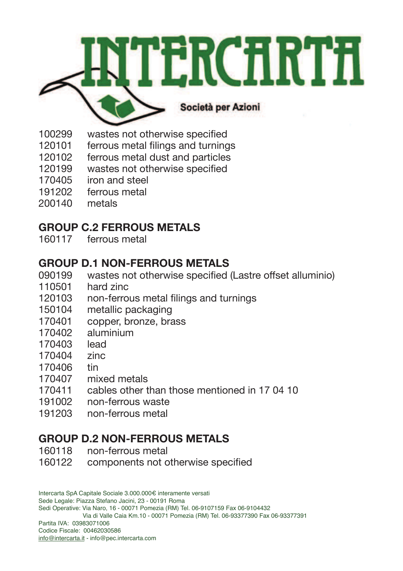

- 100299 wastes not otherwise specified
- 120101 ferrous metal filings and turnings
- 120102 ferrous metal dust and particles
- 120199 wastes not otherwise specified
- 170405 iron and steel
- 191202 ferrous metal
- 200140 metals

#### **GROUP C.2 FERROUS METALS**

160117 ferrous metal

#### **GROUP D.1 NON-FERROUS METALS**

- 090199 wastes not otherwise specified (Lastre offset alluminio)
- 110501 hard zinc
- 120103 non-ferrous metal filings and turnings
- 150104 metallic packaging
- 170401 copper, bronze, brass
- 170402 aluminium
- 170403 lead
- 170404 zinc
- 170406 tin
- 170407 mixed metals
- 170411 cables other than those mentioned in 17 04 10
- 191002 non-ferrous waste
- 191203 non-ferrous metal

# **GROUP D.2 NON-FERROUS METALS**

- 160118 non-ferrous metal
- 160122 components not otherwise specified

Intercarta SpA Capitale Sociale 3.000.000€ interamente versati Sede Legale: Piazza Stefano Jacini, 23 - 00191 Roma Sedi Operative: Via Naro, 16 - 00071 Pomezia (RM) Tel. 06-9107159 Fax 06-9104432 Via di Valle Caia Km.10 - 00071 Pomezia (RM) Tel. 06-93377390 Fax 06-93377391 Partita IVA: 03983071006 Codice Fiscale: 00462030586 info@intercarta.it - info@pec.intercarta.com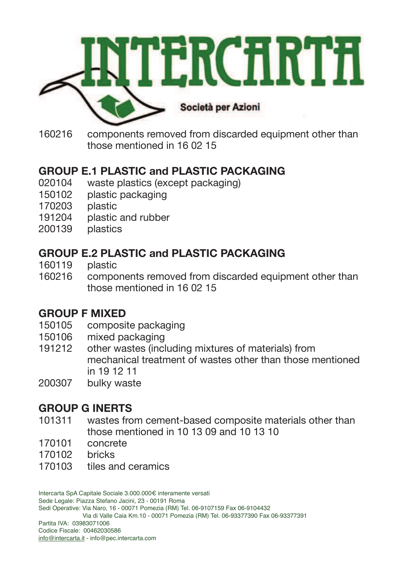

160216 components removed from discarded equipment other than those mentioned in 16 02 15

# **GROUP E.1 PLASTIC and PLASTIC PACKAGING**

- 020104 waste plastics (except packaging)
- 150102 plastic packaging
- 170203 plastic
- 191204 plastic and rubber
- 200139 plastics

# **GROUP E.2 PLASTIC and PLASTIC PACKAGING**

- 160119 plastic
- 160216 components removed from discarded equipment other than those mentioned in 16 02 15

# **GROUP F MIXED**

- 150105 composite packaging
- 150106 mixed packaging
- 191212 other wastes (including mixtures of materials) from mechanical treatment of wastes other than those mentioned in 19 12 11
- 200307 bulky waste

# **GROUP G INERTS**

- 101311 wastes from cement-based composite materials other than those mentioned in 10 13 09 and 10 13 10
- 170101 concrete
- 170102 bricks
- 170103 tiles and ceramics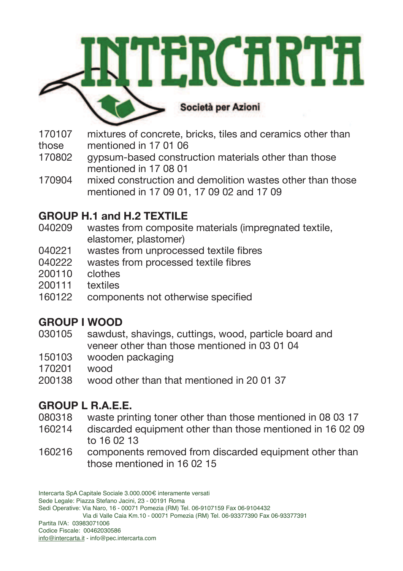

- 170107 mixtures of concrete, bricks, tiles and ceramics other than those mentioned in 17 01 06
- 170802 gypsum-based construction materials other than those mentioned in 17 08 01
- 170904 mixed construction and demolition wastes other than those mentioned in 17 09 01, 17 09 02 and 17 09

# **GROUP H.1 and H.2 TEXTILE**

- 040209 wastes from composite materials (impregnated textile, elastomer, plastomer)
- 040221 wastes from unprocessed textile fibres
- 040222 wastes from processed textile fibres
- 200110 clothes
- 200111 textiles
- 160122 components not otherwise specified

# **GROUP I WOOD**

- 030105 sawdust, shavings, cuttings, wood, particle board and veneer other than those mentioned in 03 01 04
- 150103 wooden packaging
- 170201 wood
- 200138 wood other than that mentioned in 20 01 37

# **GROUP L R.A.E.E.**

- 080318 waste printing toner other than those mentioned in 08 03 17
- 160214 discarded equipment other than those mentioned in 16 02 09 to 16 02 13
- 160216 components removed from discarded equipment other than those mentioned in 16 02 15

Intercarta SpA Capitale Sociale 3.000.000€ interamente versati Sede Legale: Piazza Stefano Jacini, 23 - 00191 Roma Sedi Operative: Via Naro, 16 - 00071 Pomezia (RM) Tel. 06-9107159 Fax 06-9104432 Via di Valle Caia Km.10 - 00071 Pomezia (RM) Tel. 06-93377390 Fax 06-93377391 Partita IVA: 03983071006 Codice Fiscale: 00462030586